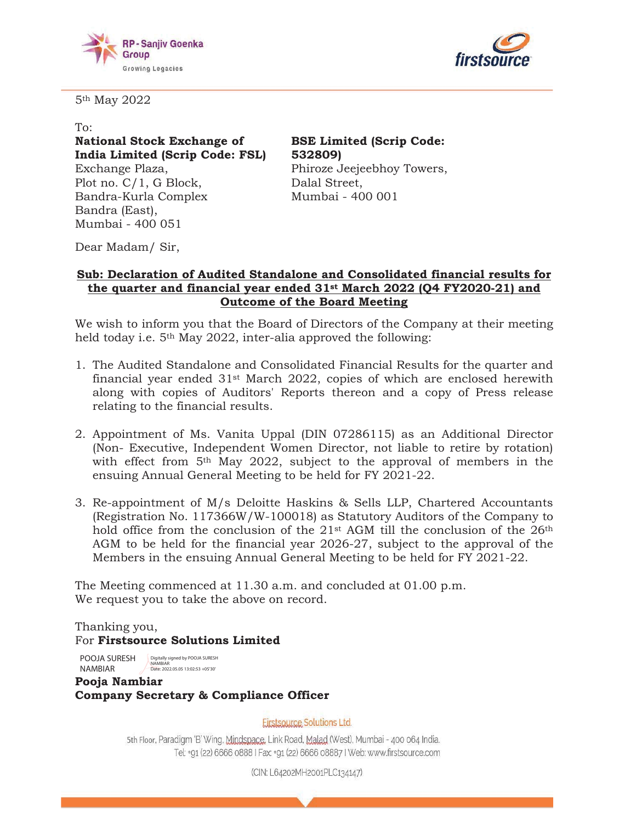



5th May 2022

To:

**National Stock Exchange of India Limited (Scrip Code: FSL)**  Exchange Plaza,

Plot no. C/1, G Block, Bandra-Kurla Complex Bandra (East), Mumbai - 400 051

**BSE Limited (Scrip Code: 532809)**  Phiroze Jeejeebhoy Towers, Dalal Street, Mumbai - 400 001

Dear Madam/ Sir,

## **Sub: Declaration of Audited Standalone and Consolidated financial results for the quarter and financial year ended 31st March 2022 (Q4 FY2021-22) and Outcome of the Board Meeting**

We wish to inform you that the Board of Directors of the Company at their meeting held today i.e. 5<sup>th</sup> May 2022, inter-alia approved the following:

- 1. The Audited Standalone and Consolidated Financial Results for the quarter and financial year ended 31st March 2022, copies of which are enclosed herewith along with copies of Auditors' Reports thereon and a copy of Press release relating to the financial results.
- 2. Appointment of Ms. Vanita Uppal (DIN 07286115) as an Additional Director (Non- Executive, Independent Women Director, not liable to retire by rotation) with effect from 5<sup>th</sup> May 2022, subject to the approval of members in the ensuing Annual General Meeting to be held for FY 2021-22.
- 3. Re-appointment of M/s Deloitte Haskins & Sells LLP, Chartered Accountants (Registration No. 117366W/W-100018) as Statutory Auditors of the Company to hold office from the conclusion of the 21<sup>st</sup> AGM till the conclusion of the 26<sup>th</sup> AGM to be held for the financial year 2026-27, subject to the approval of the Members in the ensuing Annual General Meeting to be held for FY 2021-22.

The Meeting commenced at 11.30 a.m. and concluded at 01.00 p.m. We request you to take the above on record.

Thanking you, For **Firstsource Solutions Limited** 

POOJA SURESH pigitally signed by POOJA SURESH NAMBIAR NAMBIAR Date: 2022.05.05 13:02:53 +05'30'

**Pooja Nambiar Company Secretary & Compliance Officer** 

**Firstsource Solutions Ltd.** 

5th Floor, Paradigm 'B' Wing, Mindspace, Link Road, Malad (West), Mumbai - 400 064 India. Tel: +91 (22) 6666 0888 | Fax: +91 (22) 6666 08887 | Web: www.firstsource.com

(CIN: L64202MH2001PLC134147)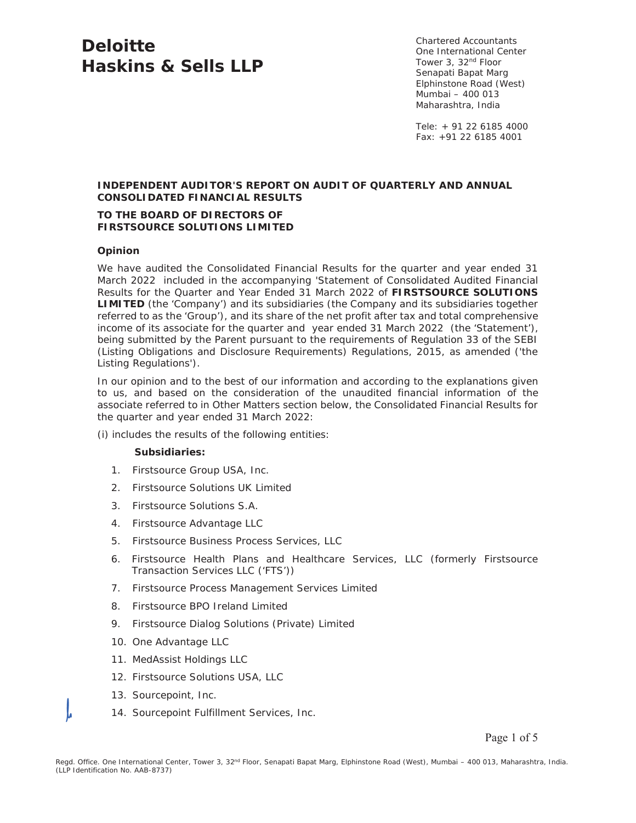# **Deloitte Haskins & Sells LLP**

Chartered Accountants One International Center Tower 3, 32nd Floor Senapati Bapat Marg Elphinstone Road (West) Mumbai – 400 013 Maharashtra, India

Tele: + 91 22 6185 4000 Fax: +91 22 6185 4001

#### **INDEPENDENT AUDITOR'S REPORT ON AUDIT OF QUARTERLY AND ANNUAL CONSOLIDATED FINANCIAL RESULTS**

#### **TO THE BOARD OF DIRECTORS OF FIRSTSOURCE SOLUTIONS LIMITED**

#### **Opinion**

We have audited the Consolidated Financial Results for the quarter and year ended 31 March 2022 included in the accompanying 'Statement of Consolidated Audited Financial Results for the Quarter and Year Ended 31 March 2022 of **FIRSTSOURCE SOLUTIONS LIMITED** (the 'Company') and its subsidiaries (the Company and its subsidiaries together referred to as the 'Group'), and its share of the net profit after tax and total comprehensive income of its associate for the quarter and year ended 31 March 2022 (the 'Statement'), being submitted by the Parent pursuant to the requirements of Regulation 33 of the SEBI (Listing Obligations and Disclosure Requirements) Regulations, 2015, as amended ('the Listing Regulations').

In our opinion and to the best of our information and according to the explanations given to us, and based on the consideration of the unaudited financial information of the associate referred to in Other Matters section below, the Consolidated Financial Results for the quarter and year ended 31 March 2022:

(i) includes the results of the following entities:

#### **Subsidiaries:**

- 1. Firstsource Group USA, Inc.
- 2. Firstsource Solutions UK Limited
- 3. Firstsource Solutions S.A.
- 4. Firstsource Advantage LLC
- 5. Firstsource Business Process Services, LLC
- 6. Firstsource Health Plans and Healthcare Services, LLC (formerly Firstsource Transaction Services LLC ('FTS'))
- 7. Firstsource Process Management Services Limited
- 8. Firstsource BPO Ireland Limited
- 9. Firstsource Dialog Solutions (Private) Limited
- 10. One Advantage LLC
- 11. MedAssist Holdings LLC
- 12. Firstsource Solutions USA, LLC
- 13. Sourcepoint, Inc.
- 14. Sourcepoint Fulfillment Services, Inc.

Page 1 of 5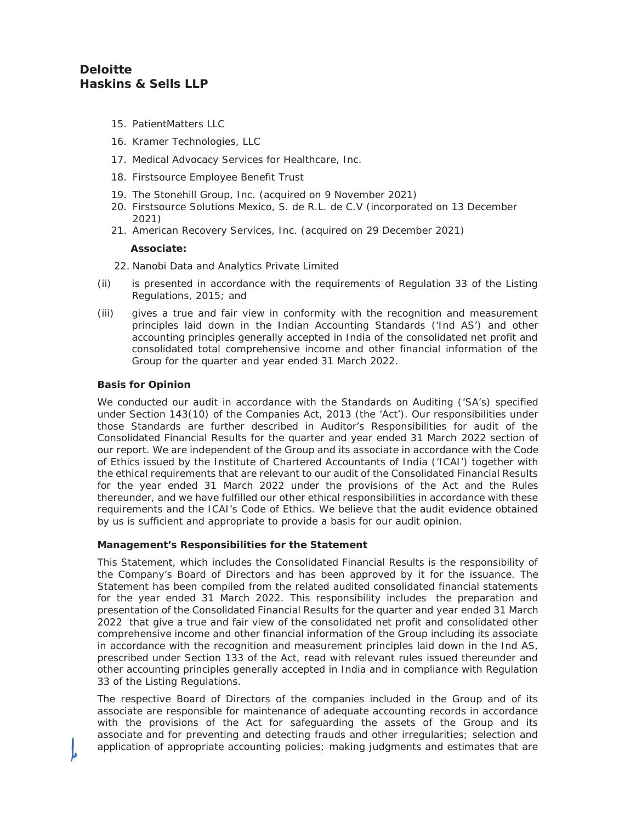# **Deloitte Haskins & Sells LLP**

- 15. PatientMatters LLC
- 16. Kramer Technologies, LLC
- 17. Medical Advocacy Services for Healthcare, Inc.
- 18. Firstsource Employee Benefit Trust
- 19. The Stonehill Group, Inc. (acquired on 9 November 2021)
- 20. Firstsource Solutions Mexico, S. de R.L. de C.V (incorporated on 13 December 2021)
- 21. American Recovery Services, Inc. (acquired on 29 December 2021)

#### **Associate:**

- 22. Nanobi Data and Analytics Private Limited
- (ii) is presented in accordance with the requirements of Regulation 33 of the Listing Regulations, 2015; and
- (iii) gives a true and fair view in conformity with the recognition and measurement principles laid down in the Indian Accounting Standards ('Ind AS') and other accounting principles generally accepted in India of the consolidated net profit and consolidated total comprehensive income and other financial information of the Group for the quarter and year ended 31 March 2022.

#### **Basis for Opinion**

We conducted our audit in accordance with the Standards on Auditing ('SA's) specified under Section 143(10) of the Companies Act, 2013 (the 'Act'). Our responsibilities under those Standards are further described in Auditor's Responsibilities for audit of the Consolidated Financial Results for the quarter and year ended 31 March 2022 section of our report. We are independent of the Group and its associate in accordance with the Code of Ethics issued by the Institute of Chartered Accountants of India ('ICAI') together with the ethical requirements that are relevant to our audit of the Consolidated Financial Results for the year ended 31 March 2022 under the provisions of the Act and the Rules thereunder, and we have fulfilled our other ethical responsibilities in accordance with these requirements and the ICAI's Code of Ethics. We believe that the audit evidence obtained by us is sufficient and appropriate to provide a basis for our audit opinion.

#### **Management's Responsibilities for the Statement**

This Statement, which includes the Consolidated Financial Results is the responsibility of the Company's Board of Directors and has been approved by it for the issuance. The Statement has been compiled from the related audited consolidated financial statements for the year ended 31 March 2022. This responsibility includes the preparation and presentation of the Consolidated Financial Results for the quarter and year ended 31 March 2022 that give a true and fair view of the consolidated net profit and consolidated other comprehensive income and other financial information of the Group including its associate in accordance with the recognition and measurement principles laid down in the Ind AS, prescribed under Section 133 of the Act, read with relevant rules issued thereunder and other accounting principles generally accepted in India and in compliance with Regulation 33 of the Listing Regulations.

The respective Board of Directors of the companies included in the Group and of its associate are responsible for maintenance of adequate accounting records in accordance with the provisions of the Act for safeguarding the assets of the Group and its associate and for preventing and detecting frauds and other irregularities; selection and application of appropriate accounting policies; making judgments and estimates that are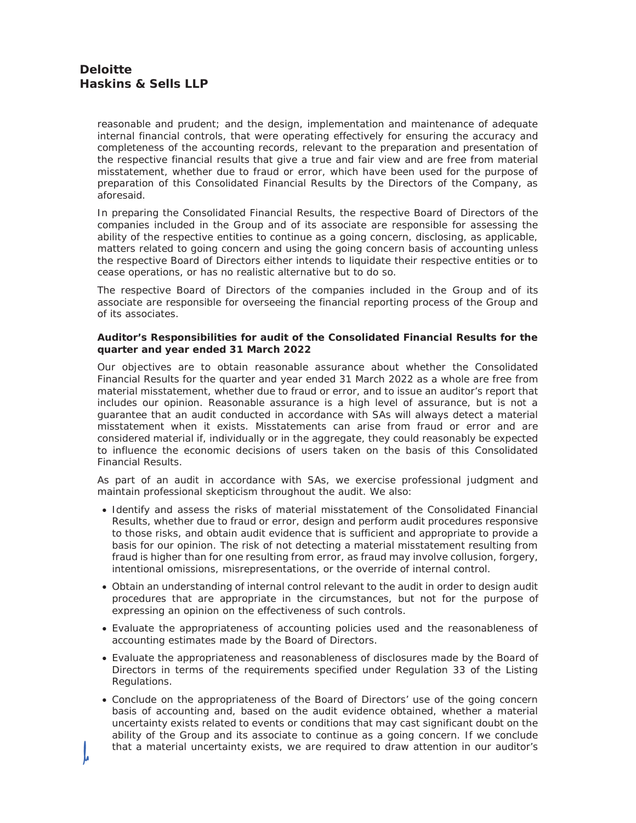reasonable and prudent; and the design, implementation and maintenance of adequate internal financial controls, that were operating effectively for ensuring the accuracy and completeness of the accounting records, relevant to the preparation and presentation of the respective financial results that give a true and fair view and are free from material misstatement, whether due to fraud or error, which have been used for the purpose of preparation of this Consolidated Financial Results by the Directors of the Company, as aforesaid.

In preparing the Consolidated Financial Results, the respective Board of Directors of the companies included in the Group and of its associate are responsible for assessing the ability of the respective entities to continue as a going concern, disclosing, as applicable, matters related to going concern and using the going concern basis of accounting unless the respective Board of Directors either intends to liquidate their respective entities or to cease operations, or has no realistic alternative but to do so.

The respective Board of Directors of the companies included in the Group and of its associate are responsible for overseeing the financial reporting process of the Group and of its associates.

#### **Auditor's Responsibilities for audit of the Consolidated Financial Results for the quarter and year ended 31 March 2022**

Our objectives are to obtain reasonable assurance about whether the Consolidated Financial Results for the quarter and year ended 31 March 2022 as a whole are free from material misstatement, whether due to fraud or error, and to issue an auditor's report that includes our opinion. Reasonable assurance is a high level of assurance, but is not a guarantee that an audit conducted in accordance with SAs will always detect a material misstatement when it exists. Misstatements can arise from fraud or error and are considered material if, individually or in the aggregate, they could reasonably be expected to influence the economic decisions of users taken on the basis of this Consolidated Financial Results.

As part of an audit in accordance with SAs, we exercise professional judgment and maintain professional skepticism throughout the audit. We also:

- Identify and assess the risks of material misstatement of the Consolidated Financial Results, whether due to fraud or error, design and perform audit procedures responsive to those risks, and obtain audit evidence that is sufficient and appropriate to provide a basis for our opinion. The risk of not detecting a material misstatement resulting from fraud is higher than for one resulting from error, as fraud may involve collusion, forgery, intentional omissions, misrepresentations, or the override of internal control.
- Obtain an understanding of internal control relevant to the audit in order to design audit procedures that are appropriate in the circumstances, but not for the purpose of expressing an opinion on the effectiveness of such controls.
- Evaluate the appropriateness of accounting policies used and the reasonableness of accounting estimates made by the Board of Directors.
- Evaluate the appropriateness and reasonableness of disclosures made by the Board of Directors in terms of the requirements specified under Regulation 33 of the Listing Regulations.
- Conclude on the appropriateness of the Board of Directors' use of the going concern basis of accounting and, based on the audit evidence obtained, whether a material uncertainty exists related to events or conditions that may cast significant doubt on the ability of the Group and its associate to continue as a going concern. If we conclude that a material uncertainty exists, we are required to draw attention in our auditor's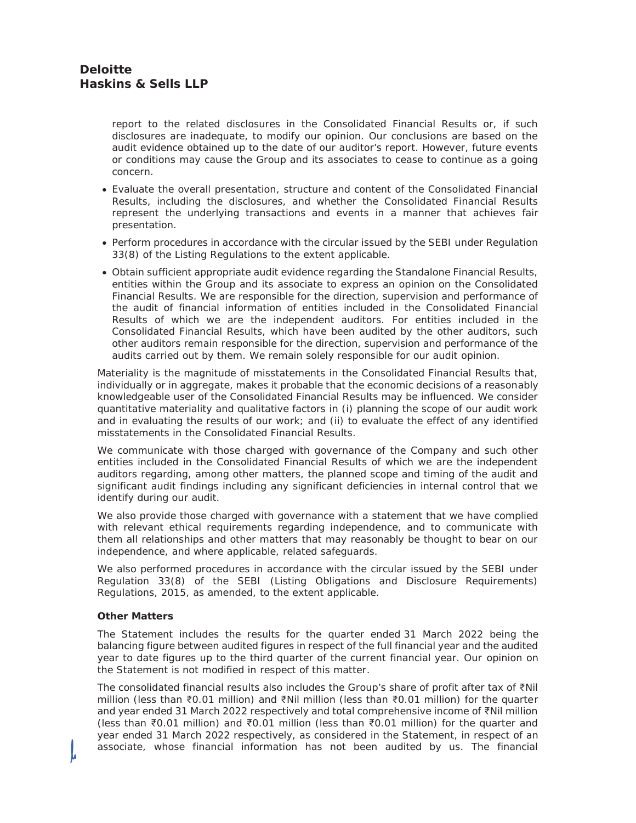report to the related disclosures in the Consolidated Financial Results or, if such disclosures are inadequate, to modify our opinion. Our conclusions are based on the audit evidence obtained up to the date of our auditor's report. However, future events or conditions may cause the Group and its associates to cease to continue as a going concern.

- Evaluate the overall presentation, structure and content of the Consolidated Financial Results, including the disclosures, and whether the Consolidated Financial Results represent the underlying transactions and events in a manner that achieves fair presentation.
- Perform procedures in accordance with the circular issued by the SEBI under Regulation 33(8) of the Listing Regulations to the extent applicable.
- Obtain sufficient appropriate audit evidence regarding the Standalone Financial Results, entities within the Group and its associate to express an opinion on the Consolidated Financial Results. We are responsible for the direction, supervision and performance of the audit of financial information of entities included in the Consolidated Financial Results of which we are the independent auditors. For entities included in the Consolidated Financial Results, which have been audited by the other auditors, such other auditors remain responsible for the direction, supervision and performance of the audits carried out by them. We remain solely responsible for our audit opinion.

Materiality is the magnitude of misstatements in the Consolidated Financial Results that, individually or in aggregate, makes it probable that the economic decisions of a reasonably knowledgeable user of the Consolidated Financial Results may be influenced. We consider quantitative materiality and qualitative factors in (i) planning the scope of our audit work and in evaluating the results of our work; and (ii) to evaluate the effect of any identified misstatements in the Consolidated Financial Results.

We communicate with those charged with governance of the Company and such other entities included in the Consolidated Financial Results of which we are the independent auditors regarding, among other matters, the planned scope and timing of the audit and significant audit findings including any significant deficiencies in internal control that we identify during our audit.

We also provide those charged with governance with a statement that we have complied with relevant ethical requirements regarding independence, and to communicate with them all relationships and other matters that may reasonably be thought to bear on our independence, and where applicable, related safeguards.

We also performed procedures in accordance with the circular issued by the SEBI under Regulation 33(8) of the SEBI (Listing Obligations and Disclosure Requirements) Regulations, 2015, as amended, to the extent applicable.

#### **Other Matters**

The Statement includes the results for the quarter ended 31 March 2022 being the balancing figure between audited figures in respect of the full financial year and the audited year to date figures up to the third quarter of the current financial year. Our opinion on the Statement is not modified in respect of this matter.

The consolidated financial results also includes the Group's share of profit after tax of  $\bar{\tau}$ Nil million (less than Ԓ0.01 million) and ԒNil million (less than Ԓ0.01 million) for the quarter and year ended 31 March 2022 respectively and total comprehensive income of ₹Nil million (less than ₹0.01 million) and ₹0.01 million (less than ₹0.01 million) for the quarter and year ended 31 March 2022 respectively, as considered in the Statement, in respect of an associate, whose financial information has not been audited by us. The financial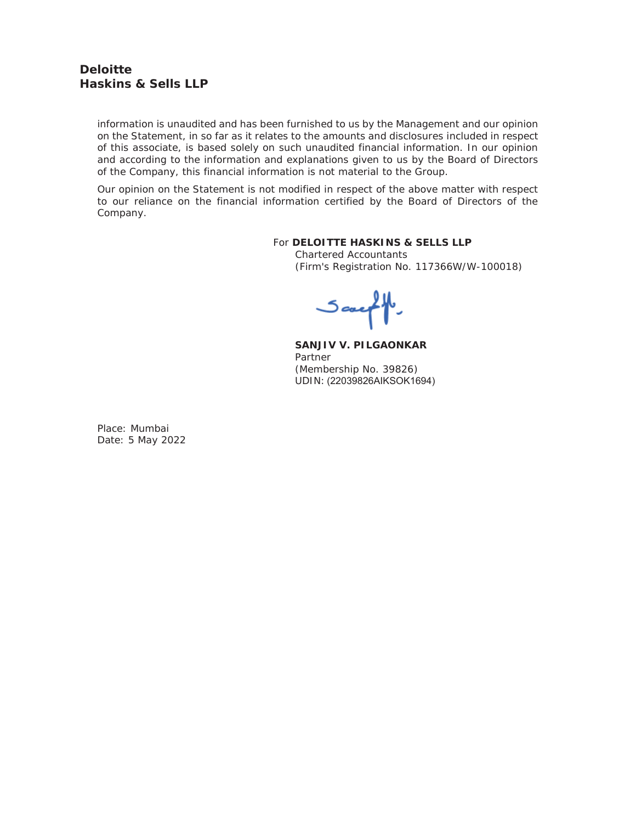# **Deloitte Haskins & Sells LLP**

information is unaudited and has been furnished to us by the Management and our opinion on the Statement, in so far as it relates to the amounts and disclosures included in respect of this associate, is based solely on such unaudited financial information. In our opinion and according to the information and explanations given to us by the Board of Directors of the Company, this financial information is not material to the Group.

Our opinion on the Statement is not modified in respect of the above matter with respect to our reliance on the financial information certified by the Board of Directors of the Company.

#### For **DELOITTE HASKINS & SELLS LLP**

Chartered Accountants (Firm's Registration No. 117366W/W-100018)

Sauff

**SANJIV V. PILGAONKAR**  Partner (Membership No. 39826) UDIN: (22039826AIKSOK1694)

Place: Mumbai Date: 5 May 2022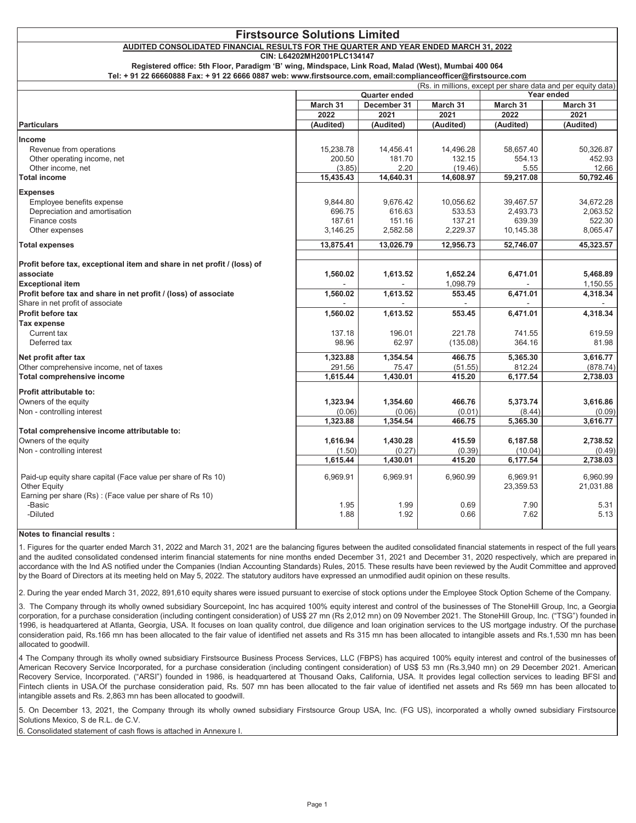#### AUDITED CONSOLIDATED FINANCIAL RESULTS FOR THE QUARTER AND YEAR ENDED MARCH 31, 2022

CIN: L64202MH2001PLC134147

Registered office: 5th Floor, Paradigm 'B' wing, Mindspace, Link Road, Malad (West), Mumbai 400 064

Tel: + 91 22 66660888 Fax: + 91 22 6666 0887 web: www.firstsource.com, email:complianceofficer@firstsource.com

|                                                                         | (Rs. in millions, except per share data and per equity data) |             |           |            |           |
|-------------------------------------------------------------------------|--------------------------------------------------------------|-------------|-----------|------------|-----------|
|                                                                         | <b>Quarter ended</b>                                         |             |           | Year ended |           |
|                                                                         | March 31                                                     | December 31 | March 31  | March 31   | March 31  |
|                                                                         | 2022                                                         | 2021        | 2021      | 2022       | 2021      |
| <b>Particulars</b>                                                      | (Audited)                                                    | (Audited)   | (Audited) | (Audited)  | (Audited) |
| Income                                                                  |                                                              |             |           |            |           |
| Revenue from operations                                                 | 15,238.78                                                    | 14,456.41   | 14,496.28 | 58,657.40  | 50,326.87 |
| Other operating income, net                                             | 200.50                                                       | 181.70      | 132.15    | 554.13     | 452.93    |
| Other income, net                                                       | (3.85)                                                       | 2.20        | (19.46)   | 5.55       | 12.66     |
| Total income                                                            | 15,435.43                                                    | 14,640.31   | 14,608.97 | 59,217.08  | 50,792.46 |
| <b>Expenses</b>                                                         |                                                              |             |           |            |           |
| Employee benefits expense                                               | 9.844.80                                                     | 9,676.42    | 10,056.62 | 39,467.57  | 34,672.28 |
| Depreciation and amortisation                                           | 696.75                                                       | 616.63      | 533.53    | 2,493.73   | 2,063.52  |
| Finance costs                                                           | 187.61                                                       | 151.16      | 137.21    | 639.39     | 522.30    |
| Other expenses                                                          | 3,146.25                                                     | 2,582.58    | 2,229.37  | 10,145.38  | 8,065.47  |
|                                                                         |                                                              |             |           |            |           |
| <b>Total expenses</b>                                                   | 13,875.41                                                    | 13,026.79   | 12,956.73 | 52,746.07  | 45,323.57 |
| Profit before tax, exceptional item and share in net profit / (loss) of |                                                              |             |           |            |           |
| associate                                                               | 1,560.02                                                     | 1,613.52    | 1,652.24  | 6,471.01   | 5,468.89  |
| <b>Exceptional item</b>                                                 |                                                              |             | 1,098.79  |            | 1,150.55  |
| Profit before tax and share in net profit / (loss) of associate         | 1,560.02                                                     | 1,613.52    | 553.45    | 6,471.01   | 4,318.34  |
| Share in net profit of associate                                        |                                                              |             |           |            |           |
| <b>Profit before tax</b>                                                |                                                              |             |           |            |           |
|                                                                         | 1,560.02                                                     | 1,613.52    | 553.45    | 6,471.01   | 4,318.34  |
| <b>Tax expense</b>                                                      |                                                              |             |           |            |           |
| Current tax                                                             | 137.18                                                       | 196.01      | 221.78    | 741.55     | 619.59    |
| Deferred tax                                                            | 98.96                                                        | 62.97       | (135.08)  | 364.16     | 81.98     |
| Net profit after tax                                                    | 1,323.88                                                     | 1,354.54    | 466.75    | 5,365.30   | 3,616.77  |
| Other comprehensive income, net of taxes                                | 291.56                                                       | 75.47       | (51.55)   | 812.24     | (878.74)  |
| Total comprehensive income                                              | 1,615.44                                                     | 1,430.01    | 415.20    | 6,177.54   | 2,738.03  |
| <b>Profit attributable to:</b>                                          |                                                              |             |           |            |           |
| Owners of the equity                                                    | 1,323.94                                                     | 1,354.60    | 466.76    | 5,373.74   | 3,616.86  |
| Non - controlling interest                                              | (0.06)                                                       | (0.06)      | (0.01)    | (8.44)     | (0.09)    |
|                                                                         | 1,323.88                                                     | 1,354.54    | 466.75    | 5,365.30   | 3,616.77  |
| Total comprehensive income attributable to:                             |                                                              |             |           |            |           |
| Owners of the equity                                                    | 1,616.94                                                     | 1,430.28    | 415.59    | 6,187.58   | 2,738.52  |
| Non - controlling interest                                              | (1.50)                                                       | (0.27)      | (0.39)    | (10.04)    | (0.49)    |
|                                                                         | 1,615.44                                                     | 1,430.01    | 415.20    | 6,177.54   | 2,738.03  |
|                                                                         |                                                              |             |           |            |           |
| Paid-up equity share capital (Face value per share of Rs 10)            | 6,969.91                                                     | 6,969.91    | 6,960.99  | 6,969.91   | 6,960.99  |
| Other Equity                                                            |                                                              |             |           | 23,359.53  | 21,031.88 |
| Earning per share (Rs) : (Face value per share of Rs 10)                |                                                              |             |           |            |           |
| -Basic                                                                  | 1.95                                                         | 1.99        | 0.69      | 7.90       | 5.31      |
| -Diluted                                                                | 1.88                                                         | 1.92        | 0.66      | 7.62       | 5.13      |
|                                                                         |                                                              |             |           |            |           |

#### Notes to financial results :

1. Figures for the quarter ended March 31, 2022 and March 31, 2021 are the balancing figures between the audited consolidated financial statements in respect of the full years and the audited consolidated condensed interim financial statements for nine months ended December 31, 2021 and December 31, 2020 respectively, which are prepared in accordance with the Ind AS notified under the Companies (Indian Accounting Standards) Rules, 2015. These results have been reviewed by the Audit Committee and approved by the Board of Directors at its meeting held on May 5, 2022. The statutory auditors have expressed an unmodified audit opinion on these results.

2. During the year ended March 31, 2022, 891,610 equity shares were issued pursuant to exercise of stock options under the Employee Stock Option Scheme of the Company.

3. The Company through its wholly owned subsidiary Sourcepoint, Inc has acquired 100% equity interest and control of the businesses of The StoneHill Group, Inc, a Georgia corporation, for a purchase consideration (including contingent consideration) of US\$ 27 mn (Rs 2,012 mn) on 09 November 2021. The StoneHill Group, Inc. ("TSG") founded in 1996, is headquartered at Atlanta, Georgia, USA. It focuses on loan quality control, due diligence and loan origination services to the US mortgage industry. Of the purchase consideration paid, Rs.166 mn has been allocated to the fair value of identified net assets and Rs 315 mn has been allocated to intangible assets and Rs.1,530 mn has been allocated to goodwill.

4 The Company through its wholly owned subsidiary Firstsource Business Process Services, LLC (FBPS) has acquired 100% equity interest and control of the businesses of American Recovery Service Incorporated, for a purchase consideration (including contingent consideration) of US\$ 53 mn (Rs.3,940 mn) on 29 December 2021. American Recovery Service, Incorporated. ("ARSI") founded in 1986, is headquartered at Thousand Oaks, California, USA. It provides legal collection services to leading BFSI and Fintech clients in USA.Of the purchase consideration paid, Rs. 507 mn has been allocated to the fair value of identified net assets and Rs 569 mn has been allocated to intangible assets and Rs. 2.863 mn has been allocated to goodwill.

5. On December 13, 2021, the Company through its wholly owned subsidiary Firstsource Group USA, Inc. (FG US), incorporated a wholly owned subsidiary Firstsource Solutions Mexico. S de R.L. de C.V.

6. Consolidated statement of cash flows is attached in Annexure I.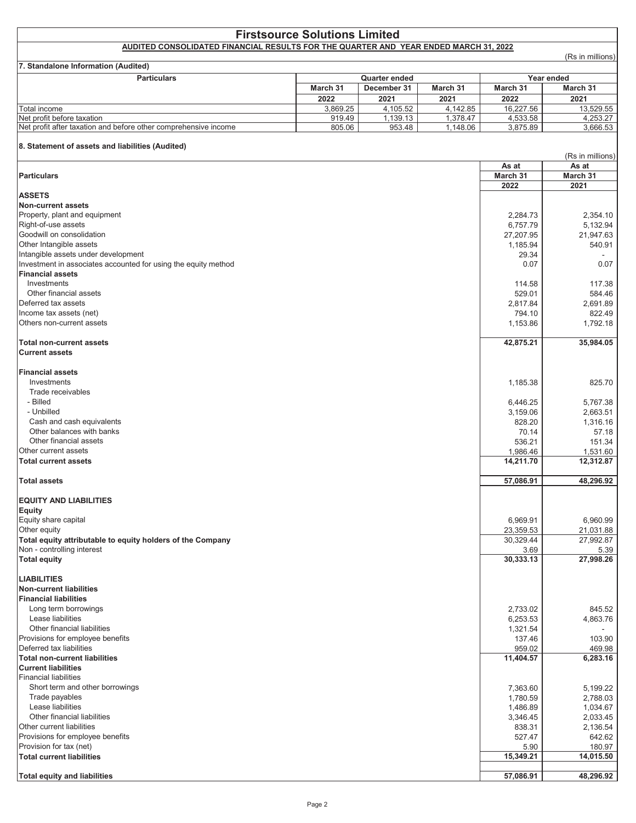|                                                                                      | <b>Firstsource Solutions Limited</b> |                      |          |                        |                           |
|--------------------------------------------------------------------------------------|--------------------------------------|----------------------|----------|------------------------|---------------------------|
| AUDITED CONSOLIDATED FINANCIAL RESULTS FOR THE QUARTER AND YEAR ENDED MARCH 31, 2022 |                                      |                      |          |                        | (Rs in millions)          |
| 7. Standalone Information (Audited)                                                  |                                      |                      |          |                        |                           |
| <b>Particulars</b>                                                                   |                                      | <b>Quarter ended</b> |          |                        | Year ended                |
|                                                                                      | March 31                             | December 31          | March 31 | March 31               | March 31                  |
|                                                                                      | 2022                                 | 2021                 | 2021     | 2022                   | 2021                      |
| Total income                                                                         | 3,869.25                             | 4,105.52             | 4,142.85 | 16,227.56              | 13,529.55                 |
| Net profit before taxation                                                           | 919.49                               | 1,139.13             | 1,378.47 | 4,533.58               | 4,253.27                  |
| Net profit after taxation and before other comprehensive income                      | 805.06                               | 953.48               | 1,148.06 | 3,875.89               | 3,666.53                  |
| 8. Statement of assets and liabilities (Audited)                                     |                                      |                      |          |                        |                           |
|                                                                                      |                                      |                      |          | As at                  | (Rs in millions)<br>As at |
| <b>Particulars</b>                                                                   |                                      |                      |          | March 31               | March 31                  |
|                                                                                      |                                      |                      |          | 2022                   | 2021                      |
| <b>ASSETS</b>                                                                        |                                      |                      |          |                        |                           |
| <b>Non-current assets</b>                                                            |                                      |                      |          |                        |                           |
| Property, plant and equipment                                                        |                                      |                      |          | 2,284.73               | 2,354.10                  |
| Right-of-use assets<br>Goodwill on consolidation                                     |                                      |                      |          | 6,757.79               | 5,132.94                  |
| Other Intangible assets                                                              |                                      |                      |          | 27,207.95<br>1,185.94  | 21,947.63<br>540.91       |
| Intangible assets under development                                                  |                                      |                      |          | 29.34                  |                           |
| Investment in associates accounted for using the equity method                       |                                      |                      |          | 0.07                   | 0.07                      |
| <b>Financial assets</b>                                                              |                                      |                      |          |                        |                           |
| Investments                                                                          |                                      |                      |          | 114.58                 | 117.38                    |
| Other financial assets                                                               |                                      |                      |          | 529.01                 | 584.46                    |
| Deferred tax assets                                                                  |                                      |                      |          | 2,817.84               | 2.691.89                  |
| Income tax assets (net)                                                              |                                      |                      |          | 794.10                 | 822.49                    |
| Others non-current assets                                                            |                                      |                      |          | 1,153.86               | 1,792.18                  |
| <b>Total non-current assets</b><br><b>Current assets</b>                             |                                      |                      |          | 42,875.21              | 35,984.05                 |
|                                                                                      |                                      |                      |          |                        |                           |
| <b>Financial assets</b>                                                              |                                      |                      |          |                        |                           |
| Investments                                                                          |                                      |                      |          | 1,185.38               | 825.70                    |
| Trade receivables                                                                    |                                      |                      |          |                        |                           |
| - Billed                                                                             |                                      |                      |          | 6,446.25               | 5,767.38                  |
| - Unbilled                                                                           |                                      |                      |          | 3,159.06               | 2,663.51                  |
| Cash and cash equivalents<br>Other balances with banks                               |                                      |                      |          | 828.20                 | 1,316.16                  |
| Other financial assets                                                               |                                      |                      |          | 70.14                  | 57.18                     |
| Other current assets                                                                 |                                      |                      |          | 536.21<br>1,986.46     | 151.34<br>1,531.60        |
| <b>Total current assets</b>                                                          |                                      |                      |          | 14,211.70              | 12,312.87                 |
|                                                                                      |                                      |                      |          |                        |                           |
| <b>Total assets</b>                                                                  |                                      |                      |          | 57,086.91              | 48,296.92                 |
| <b>EQUITY AND LIABILITIES</b>                                                        |                                      |                      |          |                        |                           |
| <b>Equity</b>                                                                        |                                      |                      |          |                        |                           |
| Equity share capital<br>Other equity                                                 |                                      |                      |          | 6,969.91               | 6,960.99<br>21,031.88     |
| Total equity attributable to equity holders of the Company                           |                                      |                      |          | 23,359.53<br>30,329.44 | 27,992.87                 |
| Non - controlling interest                                                           |                                      |                      |          | 3.69                   | 5.39                      |
| <b>Total equity</b>                                                                  |                                      |                      |          | 30,333.13              | 27,998.26                 |
|                                                                                      |                                      |                      |          |                        |                           |
| <b>LIABILITIES</b>                                                                   |                                      |                      |          |                        |                           |
| <b>Non-current liabilities</b>                                                       |                                      |                      |          |                        |                           |
| <b>Financial liabilities</b>                                                         |                                      |                      |          |                        |                           |
| Long term borrowings<br>Lease liabilities                                            |                                      |                      |          | 2,733.02               | 845.52                    |
| Other financial liabilities                                                          |                                      |                      |          | 6,253.53<br>1,321.54   | 4,863.76                  |
| Provisions for employee benefits                                                     |                                      |                      |          | 137.46                 | 103.90                    |
| Deferred tax liabilities                                                             |                                      |                      |          | 959.02                 | 469.98                    |
| <b>Total non-current liabilities</b>                                                 |                                      |                      |          | 11,404.57              | 6,283.16                  |
| <b>Current liabilities</b>                                                           |                                      |                      |          |                        |                           |
| <b>Financial liabilities</b>                                                         |                                      |                      |          |                        |                           |
| Short term and other borrowings                                                      |                                      |                      |          | 7,363.60               | 5,199.22                  |
| Trade payables                                                                       |                                      |                      |          | 1,780.59               | 2,788.03                  |
| Lease liabilities                                                                    |                                      |                      |          | 1,486.89               | 1,034.67                  |
| Other financial liabilities                                                          |                                      |                      |          | 3,346.45               | 2,033.45                  |
| Other current liabilities                                                            |                                      |                      |          | 838.31                 | 2,136.54                  |
| Provisions for employee benefits                                                     |                                      |                      |          | 527.47                 | 642.62                    |
| Provision for tax (net)                                                              |                                      |                      |          | 5.90                   | 180.97                    |
| <b>Total current liabilities</b>                                                     |                                      |                      |          | 15,349.21              | 14,015.50                 |
| <b>Total equity and liabilities</b>                                                  |                                      |                      |          | 57,086.91              | 48,296.92                 |
|                                                                                      |                                      |                      |          |                        |                           |

 $\overline{1}$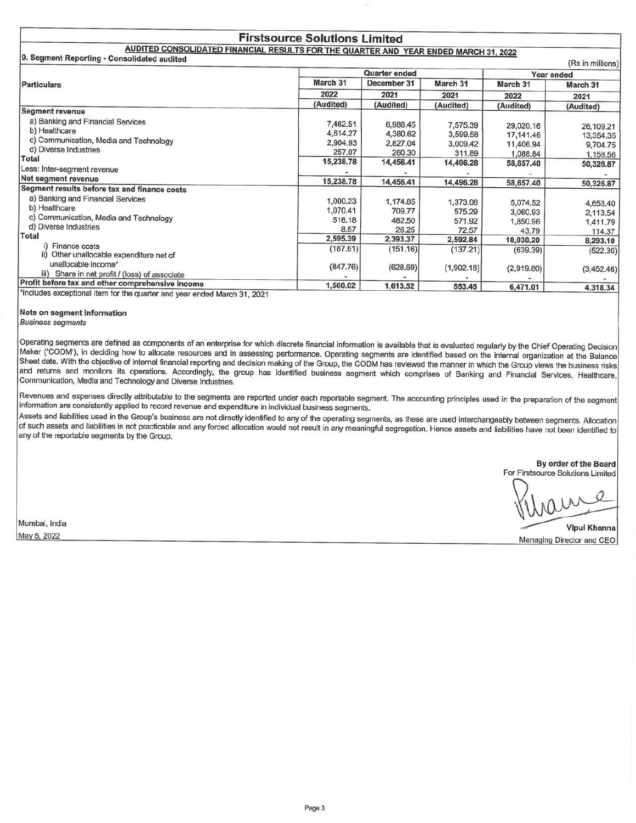#### **Firstsource Solutions Limited** AUDITED CONSOLIDATED FINANCIAL RESULTS FOR THE QUARTER AND YEAR ENDED MARCH 31, 2022

9. Segment Reporting - Consolidated audited

|                                                                                                                                                                                                     |           | <b>Quarter ended</b> |            |            | $(5.5 \text{ m})$<br>Year ended |  |
|-----------------------------------------------------------------------------------------------------------------------------------------------------------------------------------------------------|-----------|----------------------|------------|------------|---------------------------------|--|
| <b>Particulars</b>                                                                                                                                                                                  | March 31  | December 31          | March 31   | March 31   | March 31                        |  |
|                                                                                                                                                                                                     | 2022      | 2021                 | 2021       | 2022       | 2021                            |  |
|                                                                                                                                                                                                     | (Audited) | (Audited)            | (Audited)  | (Audited)  | (Audited)                       |  |
| <b>Segment revenue</b>                                                                                                                                                                              |           |                      |            |            |                                 |  |
| a) Banking and Financial Services                                                                                                                                                                   | 7,462.51  | 6,988.45             | 7,575.39   | 29,020.16  | 26,109.21                       |  |
| b) Healthcare                                                                                                                                                                                       | 4,614.27  | 4,380.62             | 3,599.58   | 17, 141.46 | 13,354.35                       |  |
| c) Communication, Media and Technology                                                                                                                                                              | 2,904.93  | 2,827.04             | 3,009.42   | 11,406.94  | 9,704.75                        |  |
| d) Diverse Industries                                                                                                                                                                               | 257.07    | 260.30               | 311.89     | 1,088.84   | 1,158.56                        |  |
| Total                                                                                                                                                                                               | 15,238.78 | 14,456.41            | 14,496.28  | 58,657.40  | 50,326.87                       |  |
| Less: Inter-segment revenue                                                                                                                                                                         |           |                      |            |            |                                 |  |
| Net segment revenue                                                                                                                                                                                 | 15,238.78 | 14,456.41            | 14,496.28  | 58,657.40  | 50,326.87                       |  |
| Segment results before tax and finance costs                                                                                                                                                        |           |                      |            |            |                                 |  |
| a) Banking and Financial Services                                                                                                                                                                   | 1,000.23  | 1,174.85             | 1,373.06   | 5,074.52   | 4,653.40                        |  |
| b) Healthcare                                                                                                                                                                                       | 1,070.41  | 709.77               | 575.29     | 3,060.93   |                                 |  |
| c) Communication, Media and Technology                                                                                                                                                              | 516.18    | 482.50               | 571.92     | 1,850.96   | 2,113.54                        |  |
| d) Diverse Industries                                                                                                                                                                               | 8.57      | 26.25                | 72.57      | 43.79      | 1,411.79<br>114.37              |  |
| Total                                                                                                                                                                                               | 2,595.39  | 2,393.37             | 2,592.84   | 10,030.20  | 8,293.10                        |  |
| Finance costs                                                                                                                                                                                       | (187.61)  | (151.16)             | (137.21)   | (639.39)   |                                 |  |
| ii) Other unallocable expenditure net of                                                                                                                                                            |           |                      |            |            | (522.30)                        |  |
| unallocable income*                                                                                                                                                                                 | (847.76)  | (628.69)             | (1,902.18) | (2,919.80) |                                 |  |
| iii) Share in net profit / (loss) of associate                                                                                                                                                      |           |                      |            |            | (3,452.46)                      |  |
| Profit before tax and other comprehensive income<br>$\mathbf{A}$ and $\mathbf{A}$ are all $\mathbf{A}$ and $\mathbf{A}$ are all $\mathbf{A}$ and $\mathbf{A}$ are all $\mathbf{A}$ and $\mathbf{A}$ | 1,560.02  | 1,613.52             | 553,45     | 6,471.01   | 4,318.34                        |  |

\*includes exceptional item for the quarter and year ended March 31, 2021

Note on segment information

**Business segments** 

Operating segments are defined as components of an enterprise for which discrete financial information is available that is evaluated regularly by the Chief Operating Decision Maker ('CODM'), in deciding how to allocate resources and in assessing performance. Operating segments are identified based on the internal organization at the Balance Sheet date. With the objective of internal financial reporting and decision making of the Group, the CODM has reviewed the manner in which the Group views the business risks and returns and monitors its operations. Accordingly, the group has identified business segment which comprises of Banking and Financial Services, Healthcare, Communication, Media and Technology and Diverse Industries.

Revenues and expenses directly attributable to the segments are reported under each reportable segment. The accounting principles used in the preparation of the segment information are consistently applied to record revenue and expenditure in individual business segments.

Assets and liabilities used in the Group's business are not directly identified to any of the operating segments, as these are used interchangeably between segments. Allocation of such assets and liabilities is not practicable and any forced allocation would not result in any meaningful segregation. Hence assets and liabilities have not been identified to any of the reportable segments by the Group.

> By order of the Board For Firstsource Solutions Limited

 $(D_0 \in \mathbb{R}^n)$ 

Mumbai, India

May 5, 2022

**Vipul Khanna** Managing Director and CEO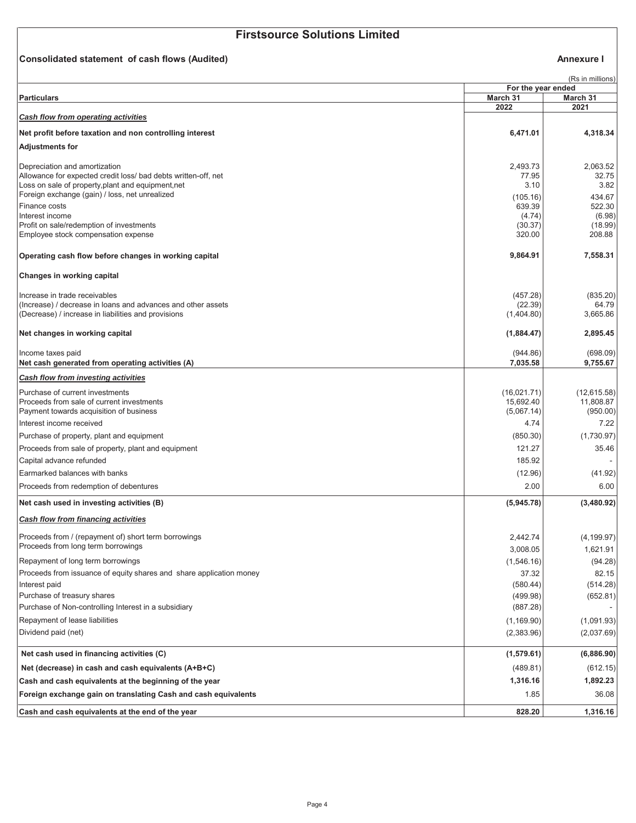#### Consolidated statement of cash flows (Audited)

#### Annexure I

|                                                                                                 |                                | (Rs in millions)         |
|-------------------------------------------------------------------------------------------------|--------------------------------|--------------------------|
| <b>Particulars</b>                                                                              | For the year ended<br>March 31 | March 31                 |
|                                                                                                 | 2022                           | 2021                     |
| <b>Cash flow from operating activities</b>                                                      |                                |                          |
| Net profit before taxation and non controlling interest                                         | 6,471.01                       | 4,318.34                 |
| <b>Adjustments for</b>                                                                          |                                |                          |
|                                                                                                 |                                |                          |
| Depreciation and amortization<br>Allowance for expected credit loss/ bad debts written-off, net | 2,493.73<br>77.95              | 2,063.52<br>32.75        |
| Loss on sale of property, plant and equipment, net                                              | 3.10                           | 3.82                     |
| Foreign exchange (gain) / loss, net unrealized                                                  | (105.16)                       | 434.67                   |
| Finance costs<br>Interest income                                                                | 639.39<br>(4.74)               | 522.30<br>(6.98)         |
| Profit on sale/redemption of investments                                                        | (30.37)                        | (18.99)                  |
| Employee stock compensation expense                                                             | 320.00                         | 208.88                   |
| Operating cash flow before changes in working capital                                           | 9,864.91                       | 7,558.31                 |
| Changes in working capital                                                                      |                                |                          |
| Increase in trade receivables                                                                   | (457.28)                       | (835.20)                 |
| (Increase) / decrease in loans and advances and other assets                                    | (22.39)                        | 64.79                    |
| (Decrease) / increase in liabilities and provisions                                             | (1,404.80)                     | 3,665.86                 |
| Net changes in working capital                                                                  | (1,884.47)                     | 2,895.45                 |
| Income taxes paid                                                                               | (944.86)                       | (698.09)                 |
| Net cash generated from operating activities (A)                                                | 7,035.58                       | 9,755.67                 |
| Cash flow from investing activities                                                             |                                |                          |
| Purchase of current investments                                                                 | (16,021.71)                    | (12,615.58)              |
| Proceeds from sale of current investments                                                       | 15,692.40                      | 11,808.87                |
| Payment towards acquisition of business<br>Interest income received                             | (5,067.14)<br>4.74             | (950.00)<br>7.22         |
| Purchase of property, plant and equipment                                                       | (850.30)                       | (1,730.97)               |
| Proceeds from sale of property, plant and equipment                                             | 121.27                         | 35.46                    |
| Capital advance refunded                                                                        | 185.92                         |                          |
| Earmarked balances with banks                                                                   | (12.96)                        | (41.92)                  |
| Proceeds from redemption of debentures                                                          | 2.00                           | 6.00                     |
| Net cash used in investing activities (B)                                                       | (5,945.78)                     | (3,480.92)               |
| Cash flow from financing activities                                                             |                                |                          |
| Proceeds from / (repayment of) short term borrowings                                            | 2,442.74                       | (4, 199.97)              |
| Proceeds from long term borrowings                                                              | 3,008.05                       | 1,621.91                 |
| Repayment of long term borrowings                                                               | (1,546.16)                     | (94.28)                  |
| Proceeds from issuance of equity shares and share application money                             | 37.32                          | 82.15                    |
| Interest paid                                                                                   | (580.44)                       | (514.28)                 |
| Purchase of treasury shares<br>Purchase of Non-controlling Interest in a subsidiary             | (499.98)<br>(887.28)           | (652.81)                 |
| Repayment of lease liabilities                                                                  |                                |                          |
| Dividend paid (net)                                                                             | (1, 169.90)<br>(2,383.96)      | (1,091.93)<br>(2,037.69) |
|                                                                                                 |                                |                          |
| Net cash used in financing activities (C)                                                       | (1,579.61)                     | (6,886.90)               |
| Net (decrease) in cash and cash equivalents (A+B+C)                                             | (489.81)                       | (612.15)                 |
| Cash and cash equivalents at the beginning of the year                                          | 1,316.16                       | 1,892.23                 |
| Foreign exchange gain on translating Cash and cash equivalents                                  | 1.85                           | 36.08                    |
| Cash and cash equivalents at the end of the year                                                | 828.20                         | 1,316.16                 |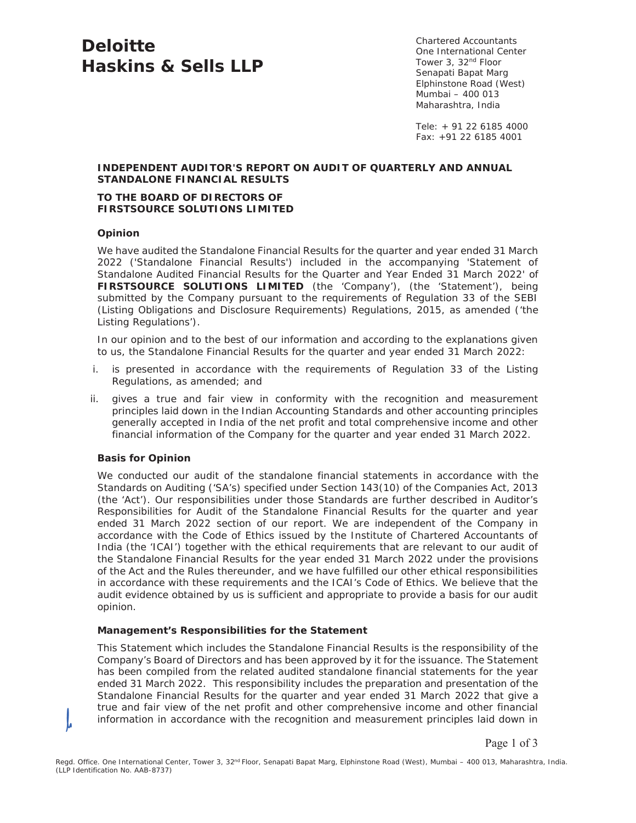# **Deloitte Haskins & Sells LLP**

Chartered Accountants One International Center Tower 3, 32nd Floor Senapati Bapat Marg Elphinstone Road (West) Mumbai – 400 013 Maharashtra, India

Tele: + 91 22 6185 4000 Fax: +91 22 6185 4001

#### **INDEPENDENT AUDITOR'S REPORT ON AUDIT OF QUARTERLY AND ANNUAL STANDALONE FINANCIAL RESULTS**

#### **TO THE BOARD OF DIRECTORS OF FIRSTSOURCE SOLUTIONS LIMITED**

#### **Opinion**

We have audited the Standalone Financial Results for the quarter and year ended 31 March 2022 ('Standalone Financial Results') included in the accompanying 'Statement of Standalone Audited Financial Results for the Quarter and Year Ended 31 March 2022' of **FIRSTSOURCE SOLUTIONS LIMITED** (the 'Company'), (the 'Statement'), being submitted by the Company pursuant to the requirements of Regulation 33 of the SEBI (Listing Obligations and Disclosure Requirements) Regulations, 2015, as amended ('the Listing Regulations').

In our opinion and to the best of our information and according to the explanations given to us, the Standalone Financial Results for the quarter and year ended 31 March 2022:

- i. is presented in accordance with the requirements of Regulation 33 of the Listing Regulations, as amended; and
- ii. gives a true and fair view in conformity with the recognition and measurement principles laid down in the Indian Accounting Standards and other accounting principles generally accepted in India of the net profit and total comprehensive income and other financial information of the Company for the quarter and year ended 31 March 2022.

#### **Basis for Opinion**

We conducted our audit of the standalone financial statements in accordance with the Standards on Auditing ('SA's) specified under Section 143(10) of the Companies Act, 2013 (the 'Act'). Our responsibilities under those Standards are further described in Auditor's Responsibilities for Audit of the Standalone Financial Results for the quarter and year ended 31 March 2022 section of our report. We are independent of the Company in accordance with the Code of Ethics issued by the Institute of Chartered Accountants of India (the 'ICAI') together with the ethical requirements that are relevant to our audit of the Standalone Financial Results for the year ended 31 March 2022 under the provisions of the Act and the Rules thereunder, and we have fulfilled our other ethical responsibilities in accordance with these requirements and the ICAI's Code of Ethics. We believe that the audit evidence obtained by us is sufficient and appropriate to provide a basis for our audit opinion.

#### **Management's Responsibilities for the Statement**

This Statement which includes the Standalone Financial Results is the responsibility of the Company's Board of Directors and has been approved by it for the issuance. The Statement has been compiled from the related audited standalone financial statements for the year ended 31 March 2022. This responsibility includes the preparation and presentation of the Standalone Financial Results for the quarter and year ended 31 March 2022 that give a true and fair view of the net profit and other comprehensive income and other financial information in accordance with the recognition and measurement principles laid down in

Page 1 of 3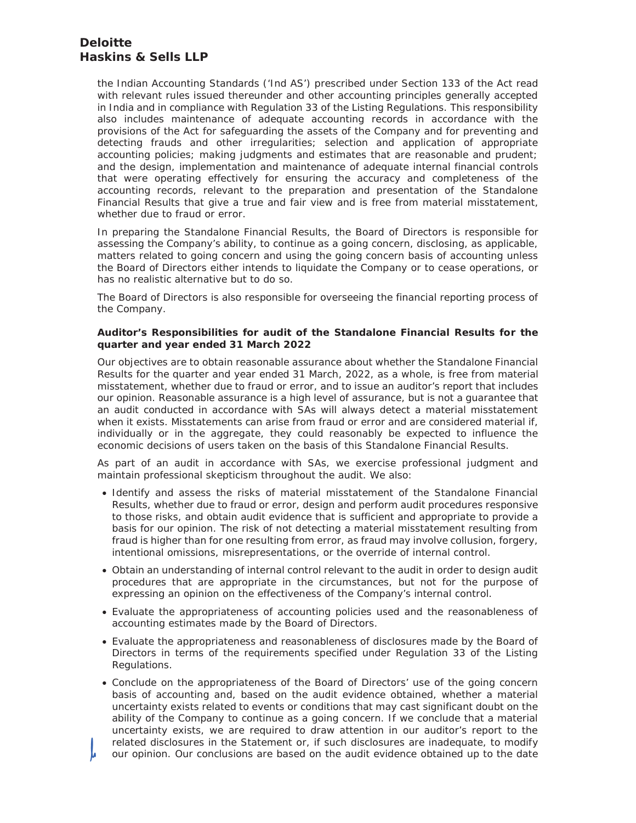# **Deloitte Haskins & Sells LLP**

the Indian Accounting Standards ('Ind AS') prescribed under Section 133 of the Act read with relevant rules issued thereunder and other accounting principles generally accepted in India and in compliance with Regulation 33 of the Listing Regulations. This responsibility also includes maintenance of adequate accounting records in accordance with the provisions of the Act for safeguarding the assets of the Company and for preventing and detecting frauds and other irregularities; selection and application of appropriate accounting policies; making judgments and estimates that are reasonable and prudent; and the design, implementation and maintenance of adequate internal financial controls that were operating effectively for ensuring the accuracy and completeness of the accounting records, relevant to the preparation and presentation of the Standalone Financial Results that give a true and fair view and is free from material misstatement, whether due to fraud or error.

In preparing the Standalone Financial Results, the Board of Directors is responsible for assessing the Company's ability, to continue as a going concern, disclosing, as applicable, matters related to going concern and using the going concern basis of accounting unless the Board of Directors either intends to liquidate the Company or to cease operations, or has no realistic alternative but to do so.

The Board of Directors is also responsible for overseeing the financial reporting process of the Company.

#### **Auditor's Responsibilities for audit of the Standalone Financial Results for the quarter and year ended 31 March 2022**

Our objectives are to obtain reasonable assurance about whether the Standalone Financial Results for the quarter and year ended 31 March, 2022, as a whole, is free from material misstatement, whether due to fraud or error, and to issue an auditor's report that includes our opinion. Reasonable assurance is a high level of assurance, but is not a guarantee that an audit conducted in accordance with SAs will always detect a material misstatement when it exists. Misstatements can arise from fraud or error and are considered material if, individually or in the aggregate, they could reasonably be expected to influence the economic decisions of users taken on the basis of this Standalone Financial Results.

As part of an audit in accordance with SAs, we exercise professional judgment and maintain professional skepticism throughout the audit. We also:

- Identify and assess the risks of material misstatement of the Standalone Financial Results, whether due to fraud or error, design and perform audit procedures responsive to those risks, and obtain audit evidence that is sufficient and appropriate to provide a basis for our opinion. The risk of not detecting a material misstatement resulting from fraud is higher than for one resulting from error, as fraud may involve collusion, forgery, intentional omissions, misrepresentations, or the override of internal control.
- Obtain an understanding of internal control relevant to the audit in order to design audit procedures that are appropriate in the circumstances, but not for the purpose of expressing an opinion on the effectiveness of the Company's internal control.
- Evaluate the appropriateness of accounting policies used and the reasonableness of accounting estimates made by the Board of Directors.
- Evaluate the appropriateness and reasonableness of disclosures made by the Board of Directors in terms of the requirements specified under Regulation 33 of the Listing Regulations.
- Conclude on the appropriateness of the Board of Directors' use of the going concern basis of accounting and, based on the audit evidence obtained, whether a material uncertainty exists related to events or conditions that may cast significant doubt on the ability of the Company to continue as a going concern. If we conclude that a material uncertainty exists, we are required to draw attention in our auditor's report to the related disclosures in the Statement or, if such disclosures are inadequate, to modify our opinion. Our conclusions are based on the audit evidence obtained up to the date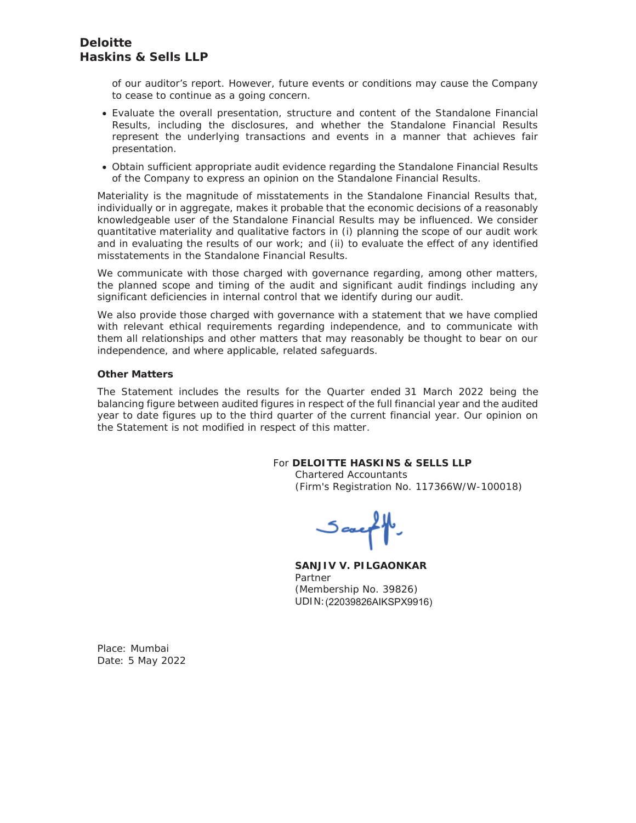of our auditor's report. However, future events or conditions may cause the Company to cease to continue as a going concern.

- Evaluate the overall presentation, structure and content of the Standalone Financial Results, including the disclosures, and whether the Standalone Financial Results represent the underlying transactions and events in a manner that achieves fair presentation.
- Obtain sufficient appropriate audit evidence regarding the Standalone Financial Results of the Company to express an opinion on the Standalone Financial Results.

Materiality is the magnitude of misstatements in the Standalone Financial Results that, individually or in aggregate, makes it probable that the economic decisions of a reasonably knowledgeable user of the Standalone Financial Results may be influenced. We consider quantitative materiality and qualitative factors in (i) planning the scope of our audit work and in evaluating the results of our work; and (ii) to evaluate the effect of any identified misstatements in the Standalone Financial Results.

We communicate with those charged with governance regarding, among other matters, the planned scope and timing of the audit and significant audit findings including any significant deficiencies in internal control that we identify during our audit.

We also provide those charged with governance with a statement that we have complied with relevant ethical requirements regarding independence, and to communicate with them all relationships and other matters that may reasonably be thought to bear on our independence, and where applicable, related safeguards.

#### **Other Matters**

The Statement includes the results for the Quarter ended 31 March 2022 being the balancing figure between audited figures in respect of the full financial year and the audited year to date figures up to the third quarter of the current financial year. Our opinion on the Statement is not modified in respect of this matter.

#### For **DELOITTE HASKINS & SELLS LLP**

Chartered Accountants (Firm's Registration No. 117366W/W-100018)

Sauff

**SANJIV V. PILGAONKAR**  Partner (Membership No. 39826) UDIN: (22039826AIKSPX9916)

Place: Mumbai Date: 5 May 2022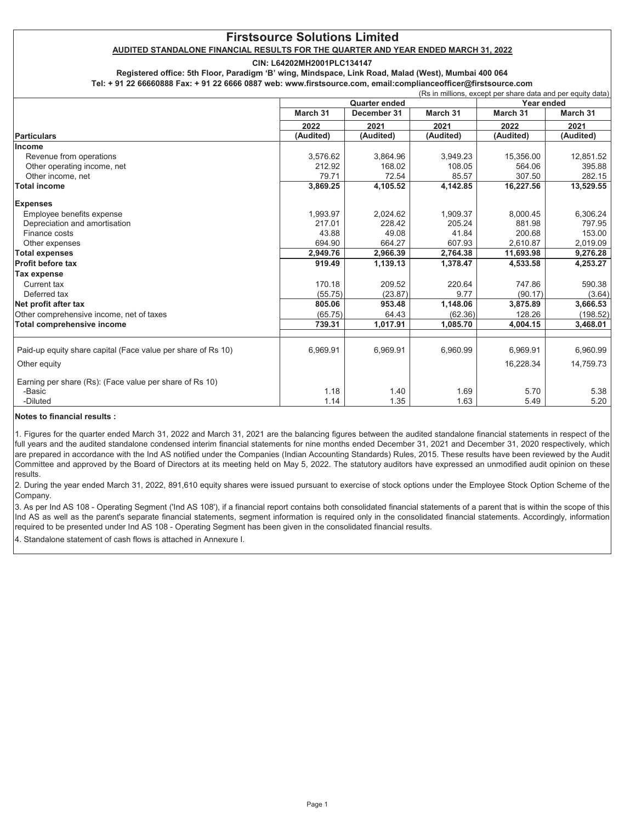#### AUDITED STANDALONE FINANCIAL RESULTS FOR THE QUARTER AND YEAR ENDED MARCH 31, 2022

CIN: L64202MH2001PLC134147

Registered office: 5th Floor, Paradigm 'B' wing, Mindspace, Link Road, Malad (West), Mumbai 400 064

Tel: + 91 22 66660888 Fax: + 91 22 6666 0887 web: www.firstsource.com, email:complianceofficer@firstsource.com

|                                                              | <b>Quarter ended</b> |             | Year ended |           |           |
|--------------------------------------------------------------|----------------------|-------------|------------|-----------|-----------|
|                                                              | March 31             | December 31 | March 31   | March 31  | March 31  |
|                                                              | 2022                 | 2021        | 2021       | 2022      | 2021      |
| Particulars                                                  | (Audited)            | (Audited)   | (Audited)  | (Audited) | (Audited) |
| Income                                                       |                      |             |            |           |           |
| Revenue from operations                                      | 3,576.62             | 3,864.96    | 3,949.23   | 15,356.00 | 12,851.52 |
| Other operating income, net                                  | 212.92               | 168.02      | 108.05     | 564.06    | 395.88    |
| Other income, net                                            | 79.71                | 72.54       | 85.57      | 307.50    | 282.15    |
| <b>Total income</b>                                          | 3,869.25             | 4,105.52    | 4,142.85   | 16,227.56 | 13,529.55 |
| <b>Expenses</b>                                              |                      |             |            |           |           |
| Employee benefits expense                                    | 1,993.97             | 2,024.62    | 1,909.37   | 8.000.45  | 6,306.24  |
| Depreciation and amortisation                                | 217.01               | 228.42      | 205.24     | 881.98    | 797.95    |
| Finance costs                                                | 43.88                | 49.08       | 41.84      | 200.68    | 153.00    |
| Other expenses                                               | 694.90               | 664.27      | 607.93     | 2,610.87  | 2,019.09  |
| <b>Total expenses</b>                                        | 2,949.76             | 2,966.39    | 2,764.38   | 11,693.98 | 9,276.28  |
| <b>Profit before tax</b>                                     | 919.49               | 1,139.13    | 1,378.47   | 4,533.58  | 4,253.27  |
| Tax expense                                                  |                      |             |            |           |           |
| Current tax                                                  | 170.18               | 209.52      | 220.64     | 747.86    | 590.38    |
| Deferred tax                                                 | (55.75)              | (23.87)     | 9.77       | (90.17)   | (3.64)    |
| Net profit after tax                                         | 805.06               | 953.48      | 1,148.06   | 3,875.89  | 3,666.53  |
| Other comprehensive income, net of taxes                     | (65.75)              | 64.43       | (62.36)    | 128.26    | (198.52)  |
| <b>Total comprehensive income</b>                            | 739.31               | 1,017.91    | 1,085.70   | 4,004.15  | 3,468.01  |
|                                                              |                      |             |            |           |           |
| Paid-up equity share capital (Face value per share of Rs 10) | 6,969.91             | 6,969.91    | 6,960.99   | 6,969.91  | 6,960.99  |
| Other equity                                                 |                      |             |            | 16,228.34 | 14,759.73 |
| Earning per share (Rs): (Face value per share of Rs 10)      |                      |             |            |           |           |
| -Basic                                                       | 1.18                 | 1.40        | 1.69       | 5.70      | 5.38      |
| -Diluted                                                     | 1.14                 | 1.35        | 1.63       | 5.49      | 5.20      |

#### Notes to financial results :

1. Figures for the quarter ended March 31, 2022 and March 31, 2021 are the balancing figures between the audited standalone financial statements in respect of the full years and the audited standalone condensed interim financial statements for nine months ended December 31, 2021 and December 31, 2020 respectively, which are prepared in accordance with the Ind AS notified under the Companies (Indian Accounting Standards) Rules, 2015. These results have been reviewed by the Audit Committee and approved by the Board of Directors at its meeting held on May 5, 2022. The statutory auditors have expressed an unmodified audit opinion on these results.

2. During the year ended March 31, 2022, 891,610 equity shares were issued pursuant to exercise of stock options under the Employee Stock Option Scheme of the Company.

3. As per Ind AS 108 - Operating Segment ('Ind AS 108'), if a financial report contains both consolidated financial statements of a parent that is within the scope of this Ind AS as well as the parent's separate financial statements, segment information is required only in the consolidated financial statements. Accordingly, information required to be presented under Ind AS 108 - Operating Segment has been given in the consolidated financial results.

4. Standalone statement of cash flows is attached in Annexure I.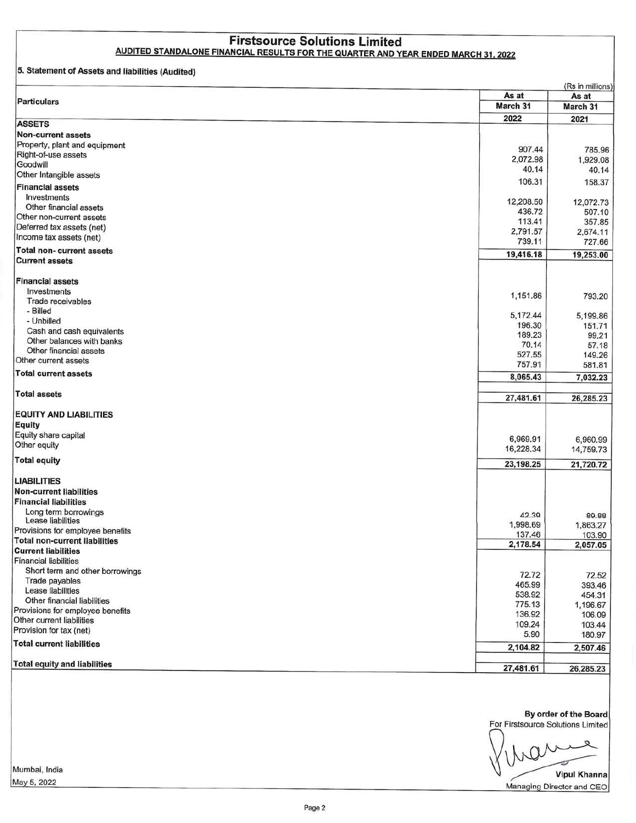# **Firstsource Solutions Limited** AUDITED STANDALONE FINANCIAL RESULTS FOR THE QUARTER AND YEAR ENDED MARCH 31, 2022

#### 5. Statement of Assets and liabilities (Audited)

|                                           | As at     | (Rs in millions)<br>As at |
|-------------------------------------------|-----------|---------------------------|
| <b>Particulars</b>                        | March 31  | March 31                  |
|                                           | 2022      | 2021                      |
| <b>ASSETS</b>                             |           |                           |
| <b>Non-current assets</b>                 |           |                           |
| Property, plant and equipment             | 907.44    | 785.96                    |
| Right-of-use assets                       | 2,072.98  | 1,929.08                  |
| Goodwill                                  | 40.14     | 40.14                     |
| Other Intangible assets                   | 106.31    | 158.37                    |
| <b>Financial assets</b>                   |           |                           |
| Investments                               | 12,208.50 | 12,072.73                 |
| Other financial assets                    | 436.72    | 507.10                    |
| Other non-current assets                  | 113.41    | 357.85                    |
| Deferred tax assets (net)                 | 2,791.57  | 2,674.11                  |
| Income tax assets (net)                   | 739.11    | 727.66                    |
| <b>Total non-current assets</b>           |           |                           |
| <b>Current assets</b>                     | 19,416.18 | 19,253.00                 |
|                                           |           |                           |
| <b>Financial assets</b>                   |           |                           |
| Investments                               | 1,151.86  | 793.20                    |
| Trade receivables                         |           |                           |
| - Billed                                  | 5,172.44  | 5,199.86                  |
| - Unbilled                                | 196.30    | 151.71                    |
| Cash and cash equivalents                 | 189.23    | 99.21                     |
| Other balances with banks                 | 70.14     | 57.18                     |
| Other financial assets                    | 527.55    | 149.26                    |
| Other current assets                      | 757.91    | 581.81                    |
| <b>Total current assets</b>               | 8,065.43  | 7,032.23                  |
|                                           |           |                           |
| <b>Total assets</b>                       | 27,481.61 | 26,285.23                 |
| <b>EQUITY AND LIABILITIES</b>             |           |                           |
| Equity                                    |           |                           |
| Equity share capital                      |           |                           |
| Other equity                              | 6,969.91  | 6,960.99                  |
|                                           | 16,228.34 | 14,759.73                 |
| <b>Total equity</b>                       | 23,198.25 | 21,720.72                 |
|                                           |           |                           |
| <b>LIABILITIES</b>                        |           |                           |
| Non-current liabilities                   |           |                           |
| <b>Financial liabilities</b>              |           |                           |
| Long term borrowings<br>Lease liabilities | 42.39     | 89.88                     |
| Provisions for employee benefits          | 1,998.69  | 1,863.27                  |
| <b>Total non-current liabilities</b>      | 137.46    | 103.90                    |
| <b>Current liabilities</b>                | 2,178.54  | 2,057.05                  |
| <b>Financial liabilities</b>              |           |                           |
| Short term and other borrowings           |           |                           |
| Trade payables                            | 72.72     | 72.52                     |
| Lease liabilities                         | 465.99    | 393.46                    |
| Other financial liabilities               | 538.92    | 454.31                    |
| Provisions for employee benefits          | 775.13    | 1,196.67                  |
| Other current liabilities                 | 136.92    | 106.09                    |
| Provision for tax (net)                   | 109.24    | 103.44                    |
|                                           | 5.90      | 180.97                    |
| <b>Total current liabilities</b>          | 2,104.82  | 2,507.46                  |
| <b>Total equity and liabilities</b>       |           |                           |
|                                           | 27,481.61 | 26,285.23                 |

By order of the Board For Firstsource Solutions Limited

**Vipul Khanna** 

Managing Director and CEO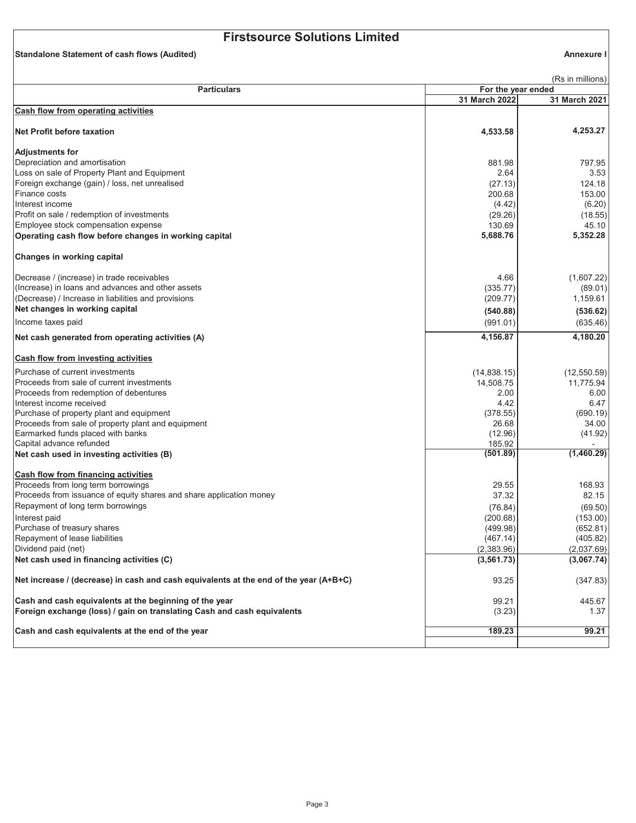Standalone Statement of cash flows (Audited)

Annexure I

| (Rs in millions)<br>For the year ended                                                |               |               |
|---------------------------------------------------------------------------------------|---------------|---------------|
| <b>Particulars</b>                                                                    | 31 March 2022 | 31 March 2021 |
| Cash flow from operating activities                                                   |               |               |
|                                                                                       |               |               |
| <b>Net Profit before taxation</b>                                                     | 4,533.58      | 4,253.27      |
| <b>Adjustments for</b>                                                                |               |               |
| Depreciation and amortisation                                                         | 881.98        | 797.95        |
| Loss on sale of Property Plant and Equipment                                          | 2.64          | 3.53          |
| Foreign exchange (gain) / loss, net unrealised                                        | (27.13)       | 124.18        |
| Finance costs                                                                         | 200.68        | 153.00        |
| Interest income                                                                       | (4.42)        | (6.20)        |
| Profit on sale / redemption of investments                                            | (29.26)       | (18.55)       |
| Employee stock compensation expense                                                   | 130.69        | 45.10         |
| Operating cash flow before changes in working capital                                 | 5,688.76      | 5,352.28      |
| Changes in working capital                                                            |               |               |
| Decrease / (increase) in trade receivables                                            | 4.66          | (1,607.22)    |
| (Increase) in loans and advances and other assets                                     | (335.77)      | (89.01)       |
| (Decrease) / Increase in liabilities and provisions                                   | (209.77)      | 1,159.61      |
| Net changes in working capital                                                        | (540.88)      | (536.62)      |
| Income taxes paid                                                                     | (991.01)      | (635.46)      |
| Net cash generated from operating activities (A)                                      | 4,156.87      | 4,180.20      |
| <b>Cash flow from investing activities</b>                                            |               |               |
| Purchase of current investments                                                       | (14,838.15)   | (12, 550.59)  |
| Proceeds from sale of current investments                                             | 14,508.75     | 11,775.94     |
| Proceeds from redemption of debentures                                                | 2.00          | 6.00          |
| Interest income received                                                              | 4.42          | 6.47          |
| Purchase of property plant and equipment                                              | (378.55)      | (690.19)      |
| Proceeds from sale of property plant and equipment                                    | 26.68         | 34.00         |
| Earmarked funds placed with banks                                                     | (12.96)       | (41.92)       |
| Capital advance refunded                                                              | 185.92        |               |
| Net cash used in investing activities (B)                                             | (501.89)      | (1,460.29)    |
| Cash flow from financing activities                                                   |               |               |
| Proceeds from long term borrowings                                                    | 29.55         | 168.93        |
| Proceeds from issuance of equity shares and share application money                   | 37.32         | 82.15         |
| Repayment of long term borrowings                                                     | (76.84)       | (69.50)       |
| Interest paid                                                                         | (200.68)      | (153.00)      |
| Purchase of treasury shares                                                           | (499.98)      | (652.81)      |
| Repayment of lease liabilities                                                        | (467.14)      | (405.82)      |
| Dividend paid (net)                                                                   | (2,383.96)    | (2,037.69)    |
| Net cash used in financing activities (C)                                             | (3, 561.73)   | (3,067.74)    |
| Net increase / (decrease) in cash and cash equivalents at the end of the year (A+B+C) | 93.25         | (347.83)      |
| Cash and cash equivalents at the beginning of the year                                | 99.21         | 445.67        |
| Foreign exchange (loss) / gain on translating Cash and cash equivalents               | (3.23)        | 1.37          |
| Cash and cash equivalents at the end of the year                                      | 189.23        | 99.21         |
|                                                                                       |               |               |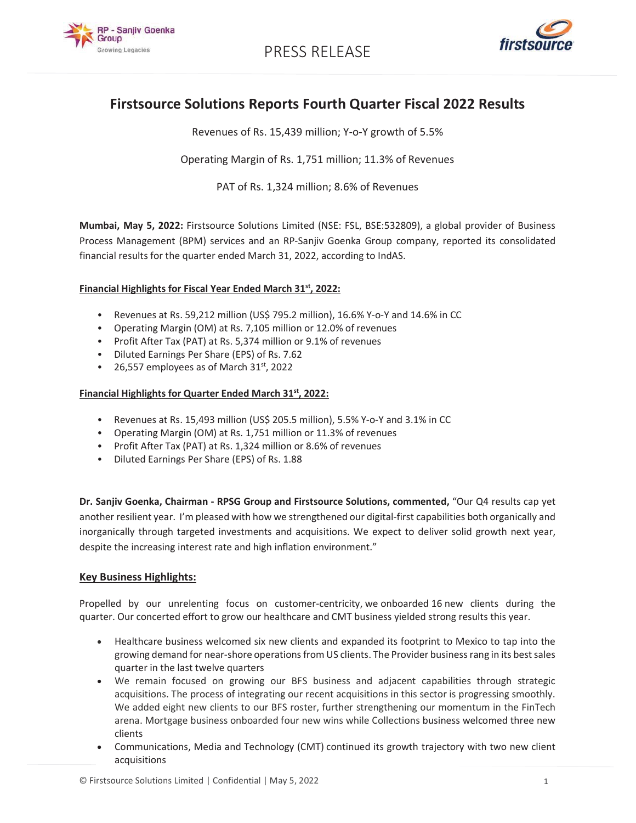

PRESS RELEASE



# Firstsource Solutions Reports Fourth Quarter Fiscal 2022 Results

Revenues of Rs. 15,439 million; Y-o-Y growth of 5.5%

Operating Margin of Rs. 1,751 million; 11.3% of Revenues

PAT of Rs. 1,324 million; 8.6% of Revenues

Mumbai, May 5, 2022: Firstsource Solutions Limited (NSE: FSL, BSE:532809), a global provider of Business Process Management (BPM) services and an RP-Sanjiv Goenka Group company, reported its consolidated financial results for the quarter ended March 31, 2022, according to IndAS.

#### Financial Highlights for Fiscal Year Ended March 31<sup>st</sup>, 2022:

- Revenues at Rs. 59,212 million (US\$ 795.2 million), 16.6% Y-o-Y and 14.6% in CC
- Operating Margin (OM) at Rs. 7,105 million or 12.0% of revenues
- Profit After Tax (PAT) at Rs. 5,374 million or 9.1% of revenues
- Diluted Earnings Per Share (EPS) of Rs. 7.62
- 26,557 employees as of March  $31<sup>st</sup>$ , 2022

#### Financial Highlights for Quarter Ended March 31<sup>st</sup>, 2022:

- Revenues at Rs. 15,493 million (US\$ 205.5 million), 5.5% Y-o-Y and 3.1% in CC
- Operating Margin (OM) at Rs. 1,751 million or 11.3% of revenues
- Profit After Tax (PAT) at Rs. 1,324 million or 8.6% of revenues
- Diluted Earnings Per Share (EPS) of Rs. 1.88

Dr. Sanjiv Goenka, Chairman - RPSG Group and Firstsource Solutions, commented, "Our Q4 results cap yet another resilient year. I'm pleased with how we strengthened our digital-first capabilities both organically and inorganically through targeted investments and acquisitions. We expect to deliver solid growth next year, despite the increasing interest rate and high inflation environment."

#### Key Business Highlights:

Propelled by our unrelenting focus on customer-centricity, we onboarded 16 new clients during the quarter. Our concerted effort to grow our healthcare and CMT business yielded strong results this year.

- Healthcare business welcomed six new clients and expanded its footprint to Mexico to tap into the growing demand for near-shore operations from US clients. The Provider business rang in its best sales guarter in the last twelve quarters
- We remain focused on growing our BFS business and adjacent capabilities through strategic acquisitions. The process of integrating our recent acquisitions in this sector is progressing smoothly. We added eight new clients to our BFS roster, further strengthening our momentum in the FinTech arena. Mortgage business onboarded four new wins while Collections business welcomed three new clients
- Communications, Media and Technology (CMT) continued its growth trajectory with two new client acquisitions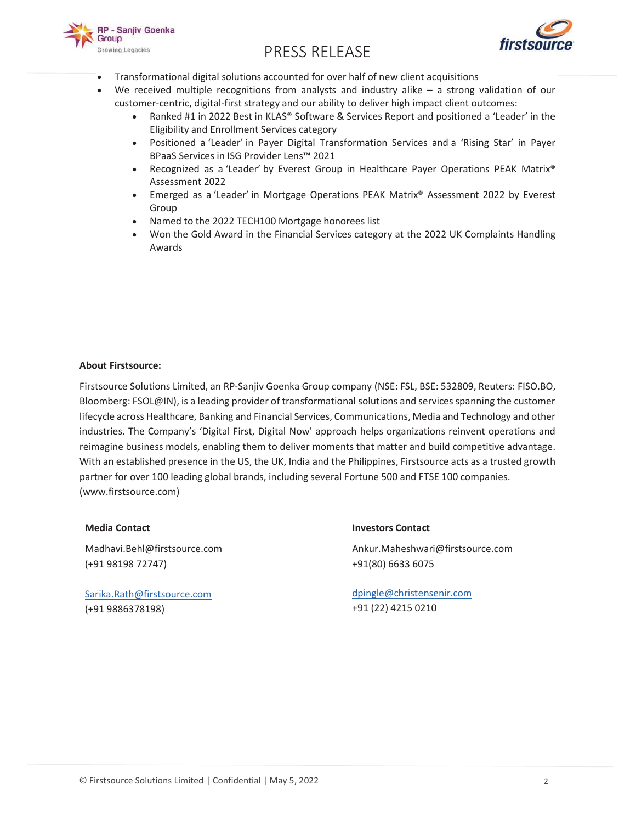

# PRESS RELEASE



- Transformational digital solutions accounted for over half of new client acquisitions
	- We received multiple recognitions from analysts and industry alike  $-$  a strong validation of our customer-centric, digital-first strategy and our ability to deliver high impact client outcomes:
		- Ranked #1 in 2022 Best in KLAS® Software & Services Report and positioned a 'Leader' in the Eligibility and Enrollment Services category
		- Positioned a 'Leader' in Payer Digital Transformation Services and a 'Rising Star' in Payer BPaaS Services in ISG Provider Lens™ 2021
		- Recognized as a 'Leader' by Everest Group in Healthcare Payer Operations PEAK Matrix®  $\bullet$ Assessment 2022
		- Emerged as a 'Leader' in Mortgage Operations PEAK Matrix® Assessment 2022 by Everest Group
		- Named to the 2022 TECH100 Mortgage honorees list
		- Won the Gold Award in the Financial Services category at the 2022 UK Complaints Handling Awards

#### **About Firstsource:**

Firstsource Solutions Limited, an RP-Sanjiv Goenka Group company (NSE: FSL, BSE: 532809, Reuters: FISO.BO, Bloomberg: FSOL@IN), is a leading provider of transformational solutions and services spanning the customer lifecycle across Healthcare, Banking and Financial Services, Communications, Media and Technology and other industries. The Company's 'Digital First, Digital Now' approach helps organizations reinvent operations and reimagine business models, enabling them to deliver moments that matter and build competitive advantage. With an established presence in the US, the UK, India and the Philippines, Firstsource acts as a trusted growth partner for over 100 leading global brands, including several Fortune 500 and FTSE 100 companies. (www.firstsource.com)

#### **Media Contact**

Madhavi.Behl@firstsource.com (+91 98198 72747)

Sarika.Rath@firstsource.com (+91 9886378198)

#### **Investors Contact**

Ankur.Maheshwari@firstsource.com +91(80) 6633 6075

dpingle@christensenir.com +91 (22) 4215 0210